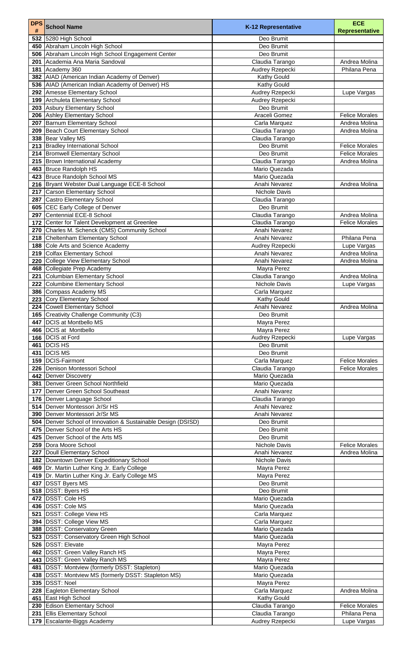| <b>DPS</b><br># | <b>School Name</b>                                                        | K-12 Representative                | <b>ECE</b><br><b>Representative</b> |
|-----------------|---------------------------------------------------------------------------|------------------------------------|-------------------------------------|
| 532             | 5280 High School                                                          | Deo Brumit                         |                                     |
|                 | 450 Abraham Lincoln High School                                           | Deo Brumit                         |                                     |
|                 | 506 Abraham Lincoln High School Engagement Center                         | Deo Brumit                         |                                     |
| 201             | Academia Ana Maria Sandoval                                               | Claudia Tarango                    | Andrea Molina                       |
| 181             | Academy 360                                                               | Audrey Rzepecki                    | Philana Pena                        |
| 382             | AIAD (American Indian Academy of Denver)                                  | <b>Kathy Gould</b>                 |                                     |
|                 | 536   AIAD (American Indian Academy of Denver) HS                         | <b>Kathy Gould</b>                 |                                     |
| 292             | <b>Amesse Elementary School</b>                                           | Audrey Rzepecki                    | Lupe Vargas                         |
| 199             | Archuleta Elementary School                                               | Audrey Rzepecki                    |                                     |
|                 | 203 Asbury Elementary School                                              | Deo Brumit<br>Araceli Gomez        | <b>Felice Morales</b>               |
| 206<br>207      | <b>Ashley Elementary School</b><br><b>Barnum Elementary School</b>        | Carla Marquez                      | Andrea Molina                       |
| 209             | <b>Beach Court Elementary School</b>                                      | Claudia Tarango                    | Andrea Molina                       |
| 338             | <b>Bear Valley MS</b>                                                     | Claudia Tarango                    |                                     |
|                 | 213   Bradley International School                                        | Deo Brumit                         | <b>Felice Morales</b>               |
|                 | 214 Bromwell Elementary School                                            | Deo Brumit                         | <b>Felice Morales</b>               |
|                 | 215 Brown International Academy                                           | Claudia Tarango                    | Andrea Molina                       |
| 463             | <b>Bruce Randolph HS</b>                                                  | Mario Quezada                      |                                     |
| 423             | <b>Bruce Randolph School MS</b>                                           | Mario Quezada                      |                                     |
|                 | 216   Bryant Webster Dual Language ECE-8 School                           | Anahi Nevarez                      | Andrea Molina                       |
| 217             | <b>Carson Elementary School</b>                                           | <b>Nichole Davis</b>               |                                     |
| 287             | Castro Elementary School                                                  | Claudia Tarango                    |                                     |
| 605             | <b>CEC Early College of Denver</b>                                        | Deo Brumit                         |                                     |
| 297             | Centennial ECE-8 School                                                   | Claudia Tarango                    | Andrea Molina                       |
| 172             | Center for Talent Development at Greenlee                                 | Claudia Tarango                    | <b>Felice Morales</b>               |
| 270             | Charles M. Schenck (CMS) Community School<br>Cheltenham Elementary School | Anahi Nevarez<br>Anahi Nevarez     | Philana Pena                        |
| 218<br>188      | Cole Arts and Science Academy                                             | Audrey Rzepecki                    | Lupe Vargas                         |
|                 | 219 Colfax Elementary School                                              | Anahi Nevarez                      | Andrea Molina                       |
|                 | 220 College View Elementary School                                        | Anahi Nevarez                      | Andrea Molina                       |
|                 | 468 Collegiate Prep Academy                                               | Mayra Perez                        |                                     |
| 221             | Columbian Elementary School                                               | Claudia Tarango                    | Andrea Molina                       |
| 222             | Columbine Elementary School                                               | <b>Nichole Davis</b>               | Lupe Vargas                         |
|                 | 386 Compass Academy MS                                                    | Carla Marquez                      |                                     |
| 223             | Cory Elementary School                                                    | <b>Kathy Gould</b>                 |                                     |
|                 | 224 Cowell Elementary School                                              | Anahi Nevarez                      | Andrea Molina                       |
|                 | 165 Creativity Challenge Community (C3)                                   | Deo Brumit                         |                                     |
|                 | 447   DCIS at Montbello MS                                                | Mayra Perez                        |                                     |
|                 | 466   DCIS at Montbello                                                   | Mayra Perez                        |                                     |
| 166<br>461      | <b>DCIS at Ford</b><br><b>DCISHS</b>                                      | Audrey Rzepecki<br>Deo Brumit      | Lupe Vargas                         |
| 431             | <b>DCIS MS</b>                                                            | Deo Brumit                         |                                     |
| 159             | DCIS-Fairmont                                                             | Carla Marquez                      | <b>Felice Morales</b>               |
| 226             | Denison Montessori School                                                 | Claudia Tarango                    | <b>Felice Morales</b>               |
| 442             | Denver Discovery                                                          | Mario Quezada                      |                                     |
| 381             | Denver Green School Northfield                                            | Mario Quezada                      |                                     |
| 177             | Denver Green School Southeast                                             | Anahi Nevarez                      |                                     |
|                 | 176   Denver Language School                                              | Claudia Tarango                    |                                     |
| 514             | Denver Montessori Jr/Sr HS                                                | Anahi Nevarez                      |                                     |
| 390             | Denver Montessori Jr/Sr MS                                                | Anahi Nevarez                      |                                     |
| 504             | Denver School of Innovation & Sustainable Design (DSISD)                  | Deo Brumit                         |                                     |
| 475             | Denver School of the Arts HS                                              | Deo Brumit                         |                                     |
| 425<br>259      | Denver School of the Arts MS<br>Dora Moore School                         | Deo Brumit<br><b>Nichole Davis</b> | <b>Felice Morales</b>               |
| 227             | Doull Elementary School                                                   | Anahi Nevarez                      | Andrea Molina                       |
| 182             | Downtown Denver Expeditionary School                                      | Nichole Davis                      |                                     |
| 469             | Dr. Martin Luther King Jr. Early College                                  | Mayra Perez                        |                                     |
| 419             | Dr. Martin Luther King Jr. Early College MS                               | Mayra Perez                        |                                     |
| 437             | <b>DSST Byers MS</b>                                                      | Deo Brumit                         |                                     |
|                 | 518 DSST: Byers HS                                                        | Deo Brumit                         |                                     |
|                 | 472   DSST: Cole HS                                                       | Mario Quezada                      |                                     |
|                 | 436   DSST: Cole MS                                                       | Mario Quezada                      |                                     |
|                 | 521   DSST: College View HS                                               | Carla Marquez                      |                                     |
|                 | 394   DSST: College View MS                                               | Carla Marquez                      |                                     |
|                 | 388   DSST: Conservatory Green                                            | Mario Quezada                      |                                     |
|                 | 523   DSST: Conservatory Green High School                                | Mario Quezada                      |                                     |
|                 | 526   DSST: Elevate                                                       | Mayra Perez                        |                                     |
|                 | 462   DSST: Green Valley Ranch HS<br>443   DSST: Green Valley Ranch MS    | Mayra Perez                        |                                     |
|                 | 481   DSST: Montview (formerly DSST: Stapleton)                           | Mayra Perez<br>Mario Quezada       |                                     |
|                 | 438   DSST: Montview MS (formerly DSST: Stapleton MS)                     | Mario Quezada                      |                                     |
|                 | 335 DSST: Noel                                                            | Mayra Perez                        |                                     |
|                 | 228 Eagleton Elementary School                                            | Carla Marquez                      | Andrea Molina                       |
|                 | 451 East High School                                                      | Kathy Gould                        |                                     |
|                 | 230 Edison Elementary School                                              | Claudia Tarango                    | <b>Felice Morales</b>               |
| 231             | <b>Ellis Elementary School</b>                                            | Claudia Tarango                    | Philana Pena                        |
|                 | 179 Escalante-Biggs Academy                                               | Audrey Rzepecki                    | Lupe Vargas                         |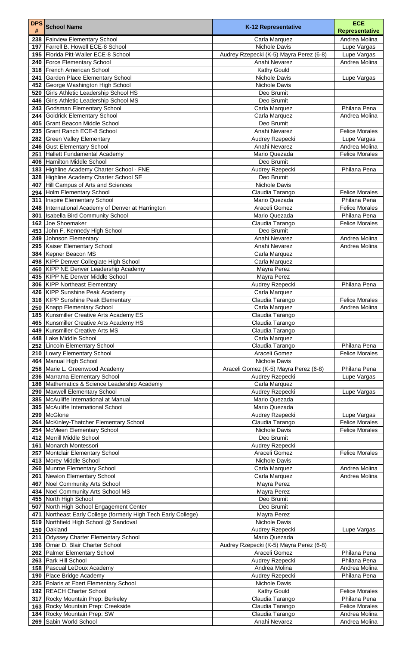| <b>DPS</b> | <b>School Name</b>                                                                | K-12 Representative                     | <b>ECE</b>                             |
|------------|-----------------------------------------------------------------------------------|-----------------------------------------|----------------------------------------|
| #          |                                                                                   |                                         | <b>Representative</b><br>Andrea Molina |
| 197        | 238   Fairview Elementary School<br>Farrell B. Howell ECE-8 School                | Carla Marquez<br><b>Nichole Davis</b>   | Lupe Vargas                            |
| 195        | Florida Pitt-Waller ECE-8 School                                                  | Audrey Rzepecki (K-5) Mayra Perez (6-8) | Lupe Vargas                            |
|            | 240   Force Elementary School                                                     | Anahi Nevarez                           | Andrea Molina                          |
| 318        | <b>French American School</b>                                                     | <b>Kathy Gould</b>                      |                                        |
| 241        | Garden Place Elementary School<br>George Washington High School                   | Nichole Davis<br>Nichole Davis          | Lupe Vargas                            |
| 452<br>520 | <b>Girls Athletic Leadership School HS</b>                                        | Deo Brumit                              |                                        |
| 446        | Girls Athletic Leadership School MS                                               | Deo Brumit                              |                                        |
| 243        | Godsman Elementary School                                                         | Carla Marquez                           | Philana Pena                           |
|            | 244 Goldrick Elementary School                                                    | Carla Marquez                           | Andrea Molina                          |
| 405<br>235 | <b>Grant Beacon Middle School</b><br><b>Grant Ranch ECE-8 School</b>              | Deo Brumit<br>Anahi Nevarez             | <b>Felice Morales</b>                  |
|            | 282 Green Valley Elementary                                                       | <b>Audrey Rzepecki</b>                  | Lupe Vargas                            |
|            | 246 Gust Elementary School                                                        | Anahi Nevarez                           | Andrea Molina                          |
| 251        | Hallett Fundamental Academy                                                       | Mario Quezada                           | <b>Felice Morales</b>                  |
| 406        | Hamilton Middle School                                                            | Deo Brumit                              |                                        |
| 183        | Highline Academy Charter School - FNE<br>328 Highline Academy Charter School SE   | Audrey Rzepecki<br>Deo Brumit           | Philana Pena                           |
| 407        | Hill Campus of Arts and Sciences                                                  | Nichole Davis                           |                                        |
|            | 294 Holm Elementary School                                                        | Claudia Tarango                         | <b>Felice Morales</b>                  |
| 311        | Inspire Elementary School                                                         | Mario Quezada                           | Philana Pena                           |
|            | 248  International Academy of Denver at Harrington                                | Araceli Gomez                           | <b>Felice Morales</b>                  |
| 301<br>162 | <b>Isabella Bird Community School</b><br>Joe Shoemaker                            | Mario Quezada<br>Claudia Tarango        | Philana Pena<br><b>Felice Morales</b>  |
| 453        | John F. Kennedy High School                                                       | Deo Brumit                              |                                        |
| 249        | Johnson Elementary                                                                | Anahi Nevarez                           | Andrea Molina                          |
|            | 295   Kaiser Elementary School                                                    | Anahi Nevarez                           | Andrea Molina                          |
|            | 384 Kepner Beacon MS                                                              | Carla Marquez                           |                                        |
|            | 498   KIPP Denver Collegiate High School<br>460 KIPP NE Denver Leadership Academy | Carla Marquez<br>Mayra Perez            |                                        |
|            | 435  KIPP NE Denver Middle School                                                 | Mayra Perez                             |                                        |
|            | 306 KIPP Northeast Elementary                                                     | Audrey Rzepecki                         | Philana Pena                           |
|            | 426 KIPP Sunshine Peak Academy                                                    | Carla Marquez                           |                                        |
|            | 316 KIPP Sunshine Peak Elementary                                                 | Claudia Tarango                         | <b>Felice Morales</b>                  |
|            | 250 Knapp Elementary School<br>185   Kunsmiller Creative Arts Academy ES          | Carla Marquez<br>Claudia Tarango        | Andrea Molina                          |
|            | 465   Kunsmiller Creative Arts Academy HS                                         | Claudia Tarango                         |                                        |
| 449        | Kunsmiller Creative Arts MS                                                       | Claudia Tarango                         |                                        |
|            | 448 Lake Middle School                                                            | Carla Marquez                           |                                        |
|            | 252 Lincoln Elementary School                                                     | Claudia Tarango<br>Araceli Gomez        | Philana Pena<br><b>Felice Morales</b>  |
| 464        | 210 Lowry Elementary School<br>Manual High School                                 | <b>Nichole Davis</b>                    |                                        |
| 258        | Marie L. Greenwood Academy                                                        | Araceli Gomez (K-5) Mayra Perez (6-8)   | Philana Pena                           |
|            | 236 Marrama Elementary School                                                     | Audrey Rzepecki                         | Lupe Vargas                            |
|            | 186 Mathematics & Science Leadership Academy                                      | Carla Marquez                           |                                        |
|            | 290   Maxwell Elementary School<br>385   McAuliffe International at Manual        | Audrey Rzepecki<br>Mario Quezada        | Lupe Vargas                            |
|            | 395   McAuliffe International School                                              | Mario Quezada                           |                                        |
|            | 299   McGlone                                                                     | Audrey Rzepecki                         | Lupe Vargas                            |
|            | 264   McKinley-Thatcher Elementary School                                         | Claudia Tarango                         | <b>Felice Morales</b>                  |
|            | 254 McMeen Elementary School                                                      | Nichole Davis                           | <b>Felice Morales</b>                  |
| 412        | Merrill Middle School<br>161   Monarch Montessori                                 | Deo Brumit<br>Audrey Rzepecki           |                                        |
|            | 257   Montclair Elementary School                                                 | Araceli Gomez                           | <b>Felice Morales</b>                  |
|            | 413 Morey Middle School                                                           | Nichole Davis                           |                                        |
|            | 260 Munroe Elementary School                                                      | Carla Marquez                           | Andrea Molina                          |
|            | 261 Newlon Elementary School<br>467 Noel Community Arts School                    | Carla Marquez<br>Mayra Perez            | Andrea Molina                          |
|            | 434 Noel Community Arts School MS                                                 | Mayra Perez                             |                                        |
|            | 455 North High School                                                             | Deo Brumit                              |                                        |
|            | 507 North High School Engagement Center                                           | Deo Brumit                              |                                        |
| 471        | Northeast Early College (formerly High Tech Early College)                        | Mayra Perez                             |                                        |
|            | 519   Northfield High School @ Sandoval<br>150 Oakland                            | Nichole Davis<br>Audrey Rzepecki        | Lupe Vargas                            |
| 211        | Odyssey Charter Elementary School                                                 | Mario Quezada                           |                                        |
|            | 196   Omar D. Blair Charter School                                                | Audrey Rzepecki (K-5) Mayra Perez (6-8) |                                        |
|            | 262   Palmer Elementary School                                                    | Araceli Gomez                           | Philana Pena                           |
|            | 263   Park Hill School                                                            | Audrey Rzepecki                         | Philana Pena                           |
|            | 158   Pascual LeDoux Academy<br>190 Place Bridge Academy                          | Andrea Molina<br>Audrey Rzepecki        | Andrea Molina<br>Philana Pena          |
| 225        | Polaris at Ebert Elementary School                                                | Nichole Davis                           |                                        |
|            | 192 REACH Charter School                                                          | <b>Kathy Gould</b>                      | <b>Felice Morales</b>                  |
|            | 317 Rocky Mountain Prep: Berkeley                                                 | Claudia Tarango                         | Philana Pena                           |
|            | 163 Rocky Mountain Prep: Creekside                                                | Claudia Tarango                         | <b>Felice Morales</b><br>Andrea Molina |
|            | 184 Rocky Mountain Prep: SW<br>269 Sabin World School                             | Claudia Tarango<br>Anahi Nevarez        | Andrea Molina                          |